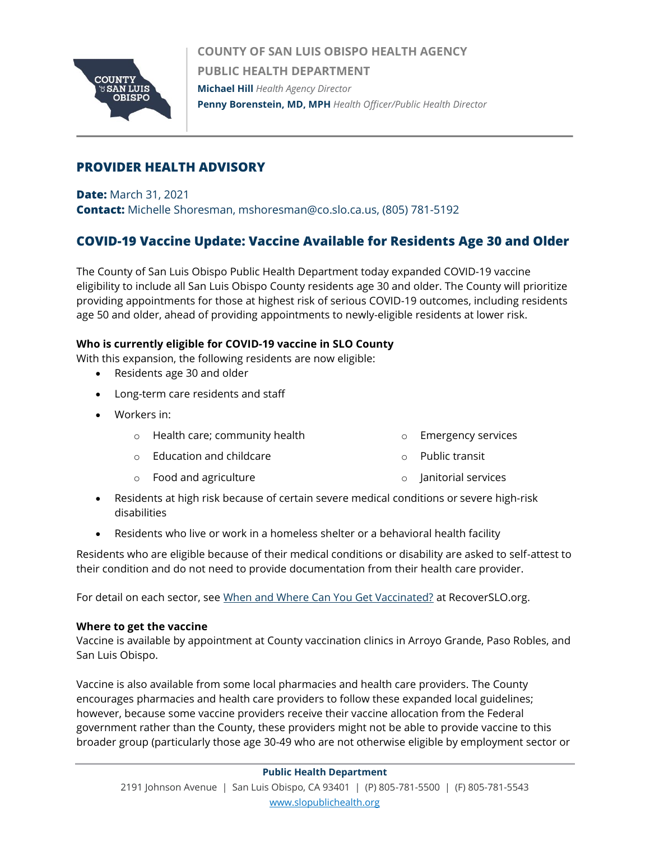

**COUNTY OF SAN LUIS OBISPO HEALTH AGENCY PUBLIC HEALTH DEPARTMENT Michael Hill** *Health Agency Director* **Penny Borenstein, MD, MPH** *Health Officer/Public Health Director*

## **PROVIDER HEALTH ADVISORY**

**Date:** March 31, 2021 **Contact:** Michelle Shoresman, mshoresman@co.slo.ca.us, (805) 781-5192

# **COVID-19 Vaccine Update: Vaccine Available for Residents Age 30 and Older**

The County of San Luis Obispo Public Health Department today expanded COVID-19 vaccine eligibility to include all San Luis Obispo County residents age 30 and older. The County will prioritize providing appointments for those at highest risk of serious COVID-19 outcomes, including residents age 50 and older, ahead of providing appointments to newly-eligible residents at lower risk.

## **Who is currently eligible for COVID-19 vaccine in SLO County**

With this expansion, the following residents are now eligible:

- Residents age 30 and older
- Long-term care residents and staff
- Workers in:
	- o Health care; community health
- o Emergency services

- o Education and childcare
- o Food and agriculture
- o Public transit
- o Janitorial services
- Residents at high risk because of certain severe medical conditions or severe high-risk disabilities
- Residents who live or work in a homeless shelter or a behavioral health facility

Residents who are eligible because of their medical conditions or disability are asked to self-attest to their condition and do not need to provide documentation from their health care provider.

For detail on each sector, see [When and Where Can You Get Vaccinated?](https://www.recoverslo.org/en/when-and-where-can-you-get-vaccinated.aspx) at RecoverSLO.org.

#### **Where to get the vaccine**

Vaccine is available by appointment at County vaccination clinics in Arroyo Grande, Paso Robles, and San Luis Obispo.

Vaccine is also available from some local pharmacies and health care providers. The County encourages pharmacies and health care providers to follow these expanded local guidelines; however, because some vaccine providers receive their vaccine allocation from the Federal government rather than the County, these providers might not be able to provide vaccine to this broader group (particularly those age 30-49 who are not otherwise eligible by employment sector or

#### **Public Health Department**

2191 Johnson Avenue | San Luis Obispo, CA 93401 | (P) 805-781-5500 | (F) 805-781-5543 [www.slopublichealth.org](file://///wings/Health%20Agency/PH/HA_Letterhead/HA_Letterhead_Effective%20Jan%202017/www.slopublichealth.org)